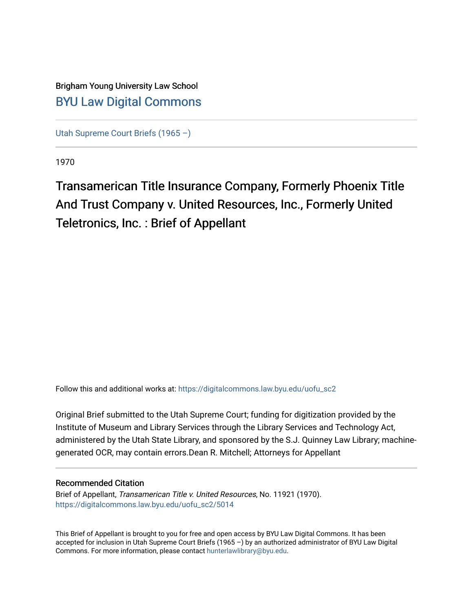Brigham Young University Law School [BYU Law Digital Commons](https://digitalcommons.law.byu.edu/) 

[Utah Supreme Court Briefs \(1965 –\)](https://digitalcommons.law.byu.edu/uofu_sc2)

1970

Transamerican Title Insurance Company, Formerly Phoenix Title And Trust Company v. United Resources, Inc., Formerly United Teletronics, Inc. : Brief of Appellant

Follow this and additional works at: [https://digitalcommons.law.byu.edu/uofu\\_sc2](https://digitalcommons.law.byu.edu/uofu_sc2?utm_source=digitalcommons.law.byu.edu%2Fuofu_sc2%2F5014&utm_medium=PDF&utm_campaign=PDFCoverPages)

Original Brief submitted to the Utah Supreme Court; funding for digitization provided by the Institute of Museum and Library Services through the Library Services and Technology Act, administered by the Utah State Library, and sponsored by the S.J. Quinney Law Library; machinegenerated OCR, may contain errors.Dean R. Mitchell; Attorneys for Appellant

#### Recommended Citation

Brief of Appellant, Transamerican Title v. United Resources, No. 11921 (1970). [https://digitalcommons.law.byu.edu/uofu\\_sc2/5014](https://digitalcommons.law.byu.edu/uofu_sc2/5014?utm_source=digitalcommons.law.byu.edu%2Fuofu_sc2%2F5014&utm_medium=PDF&utm_campaign=PDFCoverPages) 

This Brief of Appellant is brought to you for free and open access by BYU Law Digital Commons. It has been accepted for inclusion in Utah Supreme Court Briefs (1965 –) by an authorized administrator of BYU Law Digital Commons. For more information, please contact [hunterlawlibrary@byu.edu](mailto:hunterlawlibrary@byu.edu).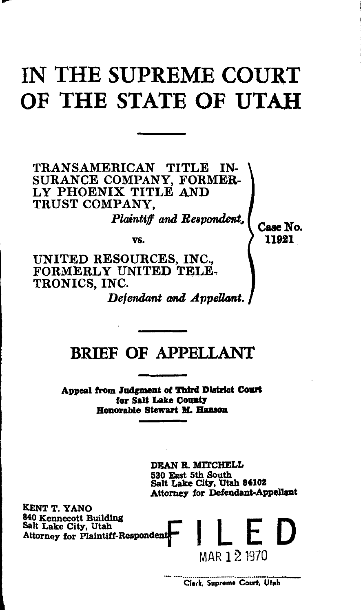# IN THE SUPREME COURT OF THE STATE OF UTAH

TRANSAMERICAN TITLE IN-SURANCE COMPANY, FORMER-LY PHOENIX TITLE AND TRUST COMPANY,

*Plaintiff and Beapcmdent,,* 

Case No. 11921

vs.

UNITED RESOURCES, INC., FORMERLY UNITED TELE-<br>TRONICS, INC.

*Defendant and Appellant.* 

## BRIEF OF APPELLANT

Appeal from Judgment of Third District Court for Salt Lake County Honorable Stewart M. Hanson

> DEAN R. MITCHELL 530 East 5th South Salt Lake City, Utah 84102 Attorney for Defendant-Appellant

KENT T. YANO<br>840 Kennecott Building ENT T. YANO<br>840 Kennecott Building<br>Salt Lake City, Utah KENT T. YANO<br>840 Kennecott Building<br>Salt Lake City, Utah<br>Attorney for Plaintiff-Respondent

Clerk, Supreme Court, Utah

MAR 1 2 1970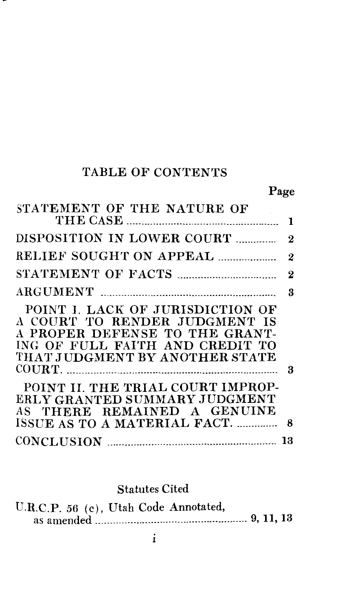## TABLE OF CONTENTS

---

## Page

| STATEMENT OF THE NATURE OF                                                                                                                                               |          |
|--------------------------------------------------------------------------------------------------------------------------------------------------------------------------|----------|
|                                                                                                                                                                          | 1        |
| DISPOSITION IN LOWER COURT                                                                                                                                               | $\bf{2}$ |
| RELIEF SOUGHT ON APPEAL                                                                                                                                                  | $\bf{2}$ |
|                                                                                                                                                                          | $\bf{2}$ |
|                                                                                                                                                                          | 3        |
| POINT I. LACK OF JURISDICTION OF<br>A COURT TO RENDER JUDGMENT IS<br>A PROPER DEFENSE TO THE GRANT-<br>ING OF FULL FAITH AND CREDIT TO<br>THAT JUDGMENT BY ANOTHER STATE |          |
|                                                                                                                                                                          | - 3      |
| POINT II. THE TRIAL COURT IMPROP-<br>ERLY GRANTED SUMMARY JUDGMENT<br>AS THERE REMAINED A GENUINE<br>ISSUE AS TO A MATERIAL FACT.                                        | 8        |
|                                                                                                                                                                          | 13       |

## Statutes Cited

| U.R.C.P. 56 (c), Utah Code Annotated, |  |  |  |  |
|---------------------------------------|--|--|--|--|
|                                       |  |  |  |  |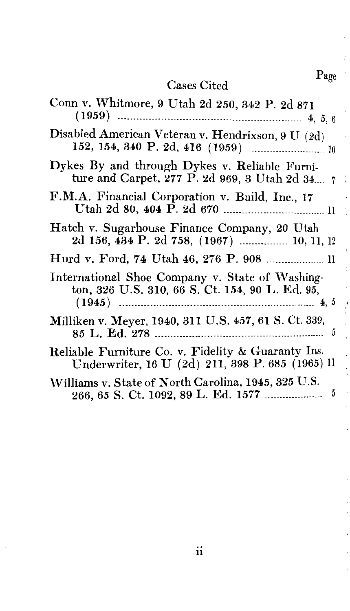# Cases Cited Page

| Conn v. Whitmore, 9 Utah 2d 250, 342 P. 2d 871                                                                             |
|----------------------------------------------------------------------------------------------------------------------------|
| Disabled American Veteran v. Hendrixson, 9 U (2d)                                                                          |
| Dykes By and through Dykes v. Reliable Furni-<br>ture and Carpet, $277$ P. 2d 969, 3 Utah 2d 34, $7$                       |
| F.M.A. Financial Corporation v. Build, Inc., 17                                                                            |
| Hatch v. Sugarhouse Finance Company, 20 Utah<br>2d 156, 434 P. 2d 758, (1967)  10, 11, 12                                  |
|                                                                                                                            |
| International Shoe Company v. State of Washing-<br>ton, 326 U.S. 310, 66 S. Ct. 154, 90 L. Ed. 95,<br>$(1945)$<br>.4,5<br> |
| Milliken v. Meyer, 1940, 311 U.S. 457, 61 S. Ct. 339,                                                                      |
| Reliable Furniture Co. v. Fidelity & Guaranty Ins.<br>Underwriter, 16 U (2d) 211, 398 P. 685 (1965) ll                     |
| Williams v. State of North Carolina, 1945, 325 U.S.<br>266, 65 S. Ct. 1092, 89 L. Ed. 1577<br>5                            |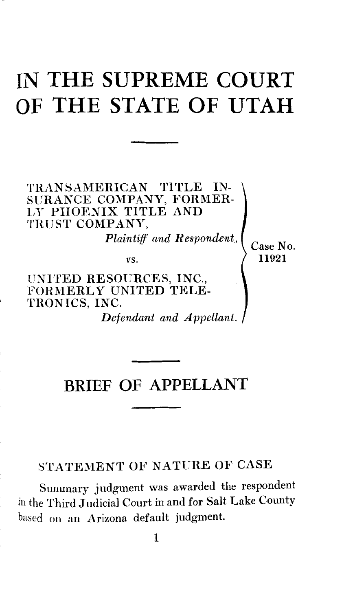## **IN THE SUPREME COURT OF THE STATE OF UTAH**

TRANSAMERICAN TITLE IN-SURANCE COMPANY, FORMER-LY PIIORNIX TITLE AND TRUST COMPANY.

*Plaintiff and Respondent,,* 

vs.

UNITED RESOURCES, INC., FORMERLY UNITED TELE-TRONICS, INC.

*Defendant and Appellant.* 

#### Case No. 11921

## **BRIEF OF APPELLANT**

#### STATEMENT OF NATURE OF CASE

Summary judgment was awarded the respondent in the Third Judicial Court in and for Salt Lake County based on an Arizona default judgment.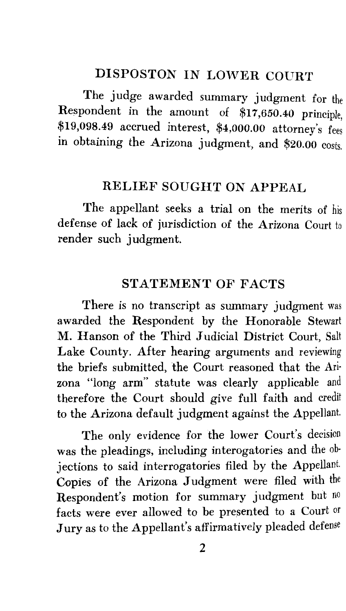#### DISPOSTON IN LOWER COURT

The judge awarded summary judgment for the Respondent in the amount of \$17 ,650.40 principle, \$19,098.49 accrued interest, \$4,000.00 attorney's fees in obtaining the Arizona judgment, and \$20.00 costs.

#### RELIEF SOUGHT ON APPEAL

The appellant seeks a trial on the merits of his defense of lack of jurisdiction of the Arizona Court to render such judgment.

#### STATEMENT OF FACTS

There is no transcript as summary judgment was awarded the Respondent by the Honorable Stewart M. Hanson of the Third Judicial District Court, Salt Lake County. After hearing arguments and reviewing the briefs submitted, the Court reasoned that the Arizona "long arm" statute was clearly applicable and therefore the Court should give full faith and credit to the Arizona default judgment against the Appellant.

The only evidence for the lower Court's decision was the pleadings, including interogatories and the objections to said interrogatories filed by the Appellant. Copies of the Arizona Judgment were filed with the Respondent's motion for summary judgment but no facts were ever allowed to be presented to a Court or Jury as to the Appellant's affirmatively pleaded defense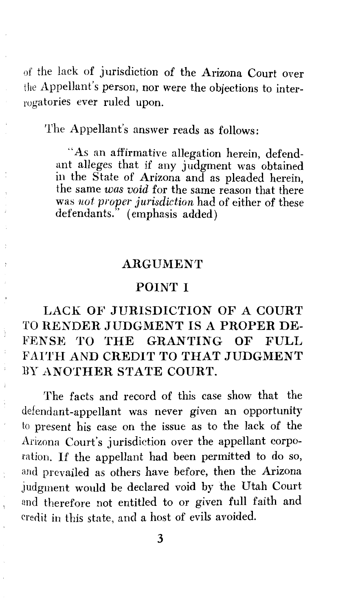of the lack of jurisdiction of the Arizona Court over the Appellant's person, nor were the objections to interrogatories ever ruled upon.

The Appellant's answer reads as follows:

"As an affirmative allegation herein, defendant alleges that if any judgment was obtained in the State of Arizona and as pleaded herein, the same *was void* for the same reason that there was *1wt proper jurisdiction* had of either of these defendants." (emphasis added)

#### ARGUMENT

#### POINT I

#### LACK OF JURISDICTION OF A COURT TO RENDER JUDGMENT IS A PROPER DE-FENSE TO THE GRANTING OF FULL FAITH AND CREDIT TO THAT JUDGMENT BY ANOTHER STATE COURT.

The facts and record of this case show that the defendant-appellant was never given an opportunity to present his case on the issue as to the lack of the Arizona Court's jurisdiction over the appellant corporation. If the appellant had been permitted to do so, and prevailed as others have before, then the Arizona judgment would be declared void by the Utah Court and therefore not entitled to or given full faith and credit in this state, and a host of evils avoided.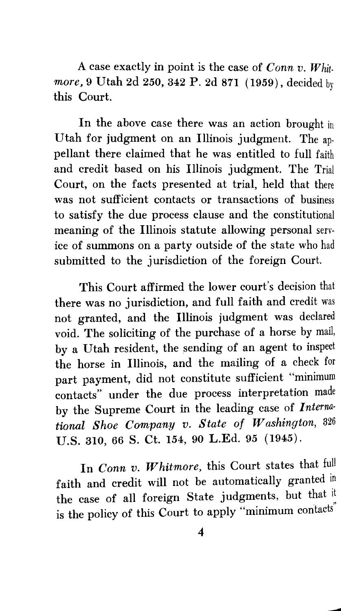A case exactly in point is the case of *Conn v. Whit· more,* 9 Utah 2d 250, 342 P. 2d 871 ( 1959) , decided by this Court.

In the above case there was an action brought in Utah for judgment on an Illinois judgment. The appellant there claimed that he was entitled to full faith and credit based on his Illinois judgment. The Trial Court, on the facts presented at trial, held that there was not sufficient contacts or transactions of business to satisfy the due process clause and the constitutional meaning of the Illinois statute allowing personal service of summons on a party outside of the state who had submitted to the jurisdiction of the foreign Court.

This Court affirmed the lower court's decision that there was no jurisdiction, and full faith and credit was not granted, and the Illinois judgment was declared void. The soliciting of the purchase of a horse by mail, by a Utah resident, the sending of an agent to inspect the horse in Illinois, and the mailing of a check for part payment, did not constitute sufficient "minimum contacts" under the due process interpretation made by the Supreme Court in the leading case of *Interna· tional Shoe Company v. State of Washington,* <sup>326</sup> U.S. 310, 66 S. Ct. 154, 90 L.Ed. 95 (1945).

In *Conn v. Whitmore,* this Court states that full faith and credit will not be automatically granted in the case of all foreign State judgments, but that it is the policy of this Court to apply "minimum contacts"

---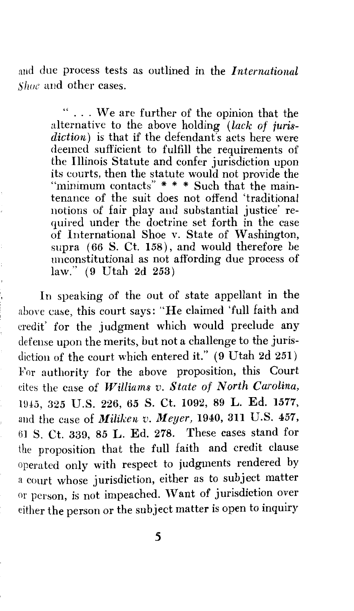and due process tests as outlined in the *International Shue* and other cases.

> " . . . We are further of the opinion that the alternative to the above holding *(lack of juris*diction) is that if the defendant's acts here were deemed sufficient to fulfill the requirements of the Illinois Statute and confer jurisdiction upon its courts, then the statute would not provide the "minimum contacts" \* \* \* Such that the maintenance of the suit does not offend 'traditional notions of fair play and substantial justice' required under the doctrine set forth in the case of International Shoe v. State of Washington, supra ( 66 S. Ct. 158), and would therefore be unconstitutional as not affording due process of law." (9 Utah 2d 253)

In speaking of the out of state appellant in the above case, this court says: "He claimed 'full faith and credit' for the judgment which would preclude any defense upon the merits, but not a challenge to the jurisdiction of the court which entered it." (9 Utah 2d 251) For authority for the above proposition, this Court cites the case of *Williams v. State of North Carolina,*  Hl4'5, 325 U.S. 226, 65 S. Ct. 1092, 89 L. Ed. 1577, and the case of *Miliken v. Meyer,* 1940, 311 U.S. 457, 61 S. Ct. 339, 85 L. Ed. 278. These cases stand for the proposition that the full faith and credit clause operated only with respect to judgments rendered by a court whose jurisdiction, either as to subject matter or person, is not impeached. \Vant of jurisdiction over either the person or the subject matter is open to inquiry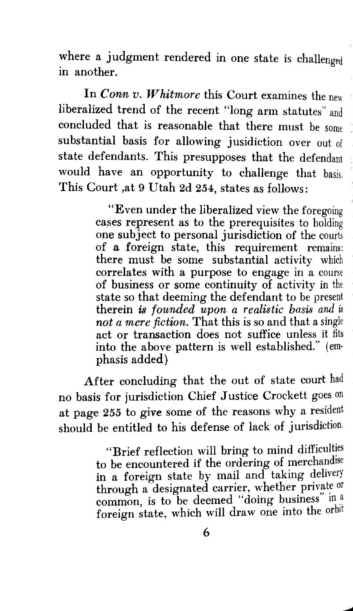where a judgment rendered in one state is challenged in another.

In *Conn v. Whitmore* this Court examines the new liberalized trend of the recent "long arm statutes" and concluded that is reasonable that there must be some substantial basis for allowing jusidiction over out of state defendants. This presupposes that the defendant would have an opportunity to challenge that basis. This Court ,at 9 Utah 2d 254, states as follows:

> "Even under the liberalized view the foregoing cases represent as to the prerequisites to holding one subject to personal jurisdiction of the courts of a foreign state, this requirement remains: there must be some substantial activity which correlates with a purpose to engage in a course of business or some continuity of activity in the state so that deeming the defendant to be present **therein is** *founded upon a realistic basis and* **is** *not a mere fiction.* That this is so and that a single act or transaction does not suffice unless it fits into the above pattern is well established." (emphasis added)

After concluding that the out of state court had no basis for jurisdiction Chief Justice Crockett goes on at page 255 to give some of the reasons why a resident should be entitled to his defense of lack of jurisdiction.

> "Brief reflection will bring to mind difficulties to be encountered if the ordering of merchandise in a foreign state by mail and taking delivery through a designated carrier, whether private or common, is to be deemed "doing business" in a foreign state, which will draw one into the orbit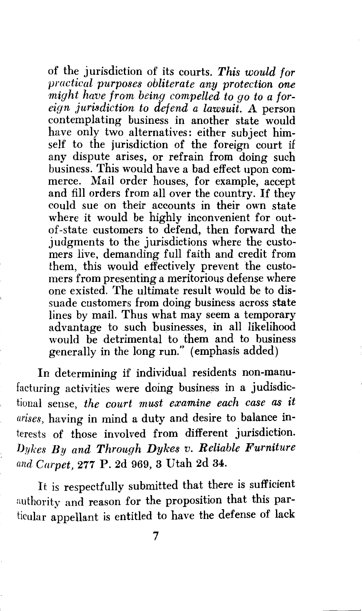of the jurisdiction of its courts. *This would for practical purposes obliterate any protection one might have from being compelled to go to a foreign jurisdiction to def end a lawsuit.* A person contemplating business in another state would have only two alternatives: either subject himself to the jurisdiction of the foreign court if any dispute arises, or refrain from doing such business. This would have a bad effect upon commerce. Mail order houses, for example, accept and fill orders from all over the country. If they could sue on their accounts in their own state where it would be highly inconvenient for outof-state customers to defend, then forward the judgments to the jurisdictions where the customers live, demanding full faith and credit from them, this would effectively prevent the customers from presenting a meritorious defense where one existed. The ultimate result would be to dissuade customers from doing business across state lines by mail. Thus what may seem a temporary advantage to such businesses, in all likelihood would be detrimental to them and to business generally in the long run." (emphasis added)

In determining if individual residents non-manufacturing activities were doing business in a judisdictional sense, *the court must examine each case as it arises,* having in mind a duty and desire to balance interests of those involved from different jurisdiction. *Dykes By and Through Dykes v. Reliable Furniture and Carpet,* 277 P. 2d 969, 3 Utah 2d 34.

It is respectfully submitted that there is sufficient authority and reason for the proposition that this particular appellant is entitled to have the defense of lack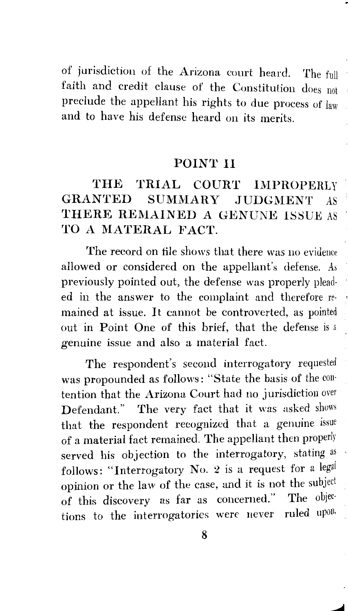of jurisdiction of the Arizona court heard. The full faith and credit clause of the Constitution does not preclude the appellant his rights to due process of law and to have his defense heard on its merits.

#### POINT II

#### THE TRIAL COURT IMPROPERLY GRANTED SUMMARY JUDGMENT AS THERE REMAINED A GENUNE ISSUE AS TO A MATERAL FACT.

The record on file shows that there was no evidence allowed or considered on the appellant's defense. As previously pointed out, the defense was properly plead· ed in the answer to the complaint and therefore re· ' mained at issue. It cannot be controverted, as pointed out in Point One of this brief, that the defense is a genuine issue and also a material fact.

The respondent's second interrogatory requested was propounded as follows: "State the basis of the con· tention that the Arizona Court had no jurisdiction over Defendant." The very fact that it was asked shows that the respondent recognized that a genuine issue of a material fact remained. The appellant then properly served his objection to the interrogatory, stating as follows: "Interrogatory No. 2 is a request for a legal opinion or the law of the case, and it is not the subject<br>of this discovery, as far as concerned." The objecof this discovery as far as concerned." The objections to the interrogatories were never ruled upon. tions to the interrogatories were never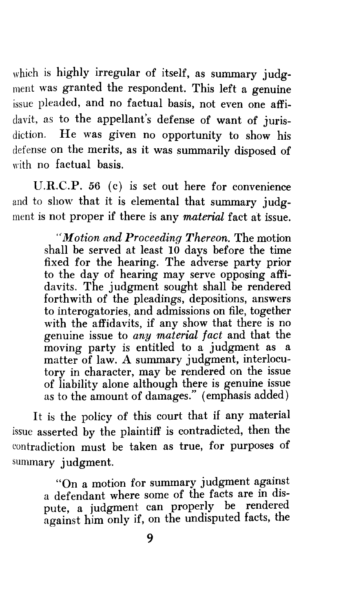which is highly irregular of itself, as summary judgment was granted the respondent. This left a genuine issue pleaded, and no factual basis, not even one affidavit, as to the appellant's defense of want of jurisdiction. He was given no opportunity to show his defense on the merits, as it was summarily disposed of with no factual basis.

U.R.C.P. 56 (c) is set out here for convenience and to show that it is elemental that summary judgment is not proper if there is any *material* fact at issue.

> *''Motion and Proceeding Thereon.* The motion shall be served at least  $10$  days before the time fixed for the hearing. The adverse party prior to the day of hearing may serve opposing affidavits. The judgment sought shall be rendered forthwith of the pleadings, depositions, answers to interogatories, and admissions on file, together with the affidavits, if any show that there is no genuine issue to *any material fact* and that the moving party is entitled to a judgment as a matter of law. A summary judgment, interlocutory in character, may be rendered on the issue of liability alone although there is genuine issue as to the amount of damages." (emphasis added)

It is the policy of this court that if any material issue asserted by the plaintiff is contradicted, then the contradiction must be taken as true, for purposes of summary judgment.

> "On a motion for summary judgment against a defendant where some of the facts are in dispute, a judgment can properly be rendered against him only if, on the undisputed facts, the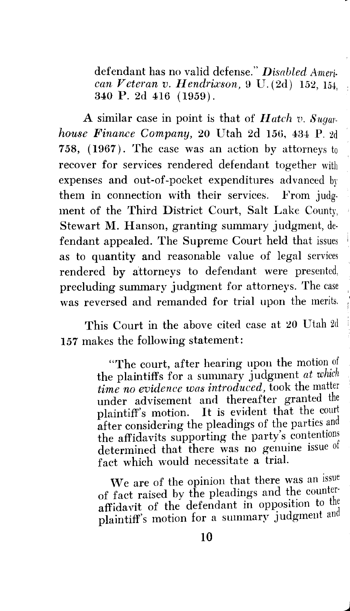defendant has no valid defense." *Disabled American Veteran v. Hendrix'son,* 9 U. (2d) 152, 154, 340 P. 2d 416 ( 1959).

A similar case in point is that of *Hatch v. Sugarhouse Finance Company,* 20 Utah 2d 156, 434 P. 2d 758, (1967). The case was an action by attorneys to recover for services rendered defendant together with expenses and out-of-pocket expenditures advanced by them in connection with their services. From judgment of the Third District Court, Salt Lake County, Stewart M. Hanson, granting summary judgment, defendant appealed. The Supreme Court held that issues as to quantity and reasonable value of legal services rendered by attorneys to defendant were presented, precluding summary judgment for attorneys. The case was reversed and remanded for trial upon the merits.

This Court in the above cited case at 20 Utah 2d 157 makes the following statement:

> "The court, after hearing upon the motion of the plaintiffs for a summary judgment *at which time no evidence was introduced,* took the matter under advisement and thereafter granted the plaintiff's motion. It is evident that the court after considering the pleadings of the parties and the affidavits supporting the party's contentions determined that there was no genuine issue of fact which would necessitate a trial.

> 'Ve are of the opinion that there was an issue of fact raised by the pleadings and the counter· affidavit of the defendant in opposition to the plaintiff's motion for a summary judgment and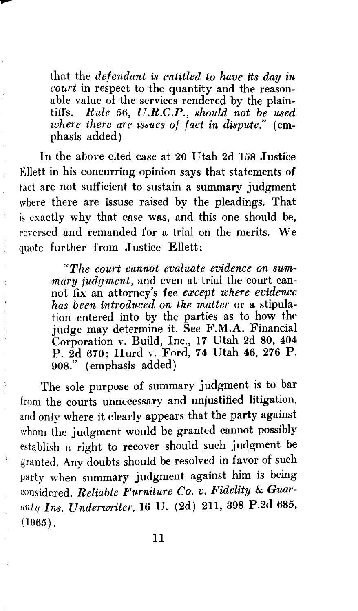that *defendant is entitled to have its day in court* in respect to the quantity and the reasonable value of the services rendered by the plaintiffs. *Rule* 56, *U.R.C.P., should not be used where there are issues of fact in dispute."* (emphasis added)

In the above cited case at 20 Utah 2d 158 Justice Ellett in his concurring opinion says that statements of fact are not sufficient to sustain a summary judgment where there are issuse raised by the pleadings. That is exactly why that case was, and this one should be, reversed and remanded for a trial on the merits. We quote further from Justice Ellett:

> *"The court cannot evaluate evidence on summary judgment,* and even at trial the court cannot fix an attorney's fee *except where evidence has been introduced on the matter* or a stipulation entered into by the parties as to how the judge may determine it. See F.M.A. Financial Corporation v. Build, Inc., 17 Utah 2d 80, 404 P. 2d 670; Hurd v. Ford, 74 Utah 46, 276 P. 908." (emphasis added)

The sole purpose of summary judgment is to bar from the courts unnecessary and unjustified litigation, and only where it clearly appears that the party against whom the judgment would be granted cannot possibly establish a right to recover should such judgment be granted. Any doubts should be resolved in favor of such party when summary judgment against him is being considered. *Reliable Furniture Co. v. Fidelity* & *Guarunty Ins. Underwriter,* 16 U. (2d) 211, 398 P.2d 685,  $(1965)$ .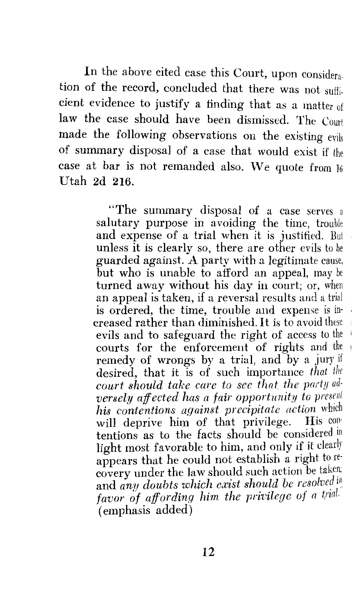In the above cited case this Court, upon considera, tion of the record, concluded that there was not sufficient evidence to justify a finding that as a matter of law the case should have been dismissed. The Court made the following observations on the existing evils of summary disposal of a case that would exist if the case at bar is not remanded also. We quote from  $16$ Utah 2d 216.

> "The summary disposal of a case serves a salutary purpose in avoiding the time, trouble and expense of a trial when it is justified. But unless it is clearly so, there are other evils to be guarded against. A party with a legitimate cause, but who is unable to afford an appeal, may be turned away without his day in court; or, when an appeal is taken, if a reversal results and a trial is ordered, the time, trouble and expense is increased rather than diminished. It is to avoid these evils and to safeguard the right of access to the ' courts for the enforcement of rights and the remedy of wrongs by a trial, and by a jury if desired, that it is of such importance *that tlie court should take care to see that. the party adversely affected has a fair opportunity to present his contentions against precipitate action* which will deprive him of that privilege. tentions as to the facts should be considered m light most favorable to him, and only if it clearly appears that he could not establish a right to recovery under the law should such action be taken; and *any doubts which exist should be resolved* in *favor of affording him the privilege of a trial.*  (emphasis added)